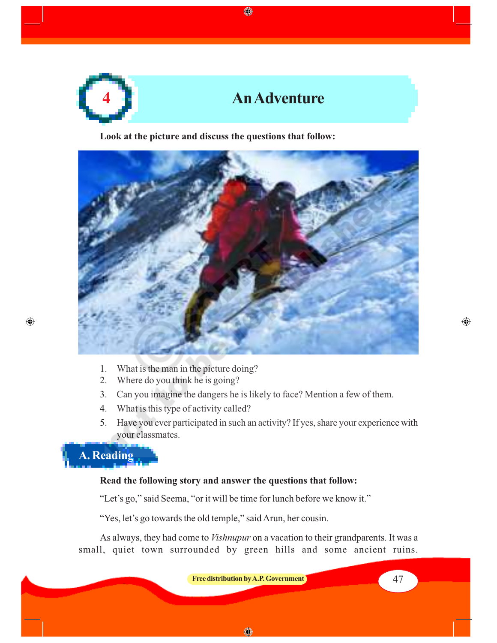

◈

**Look at the picture and discuss the questions that follow:**



- 1. What is the man in the picture doing?
- 2. Where do you think he is going?
- 3. Can you imagine the dangers he is likely to face? Mention a few of them.
- 4. What is this type of activity called?
- 5. Have you ever participated in such an activity? If yes, share your experience with your classmates.

**A. Reading**

 $\bigoplus$ 

#### **Read the following story and answer the questions that follow:**

"Let's go," said Seema, "or it will be time for lunch before we know it."

"Yes, let's go towards the old temple," said Arun, her cousin.

As always, they had come to *Vishnupur* on a vacation to their grandparents. It was a small, quiet town surrounded by green hills and some ancient ruins.

**Free distribution by A.P. Government 1988 1988 1988 1988 1988** 

⊕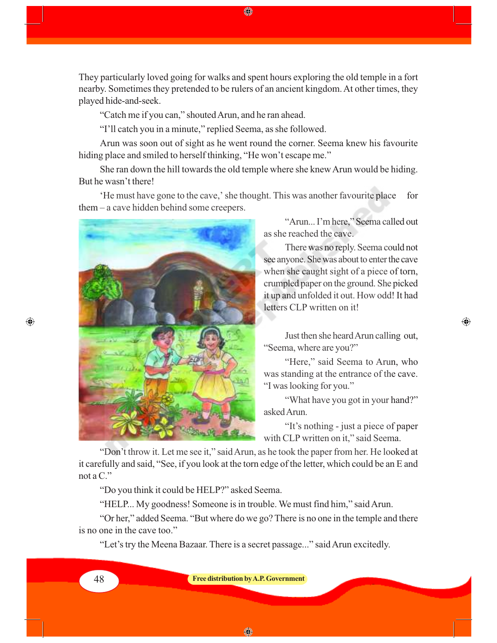They particularly loved going for walks and spent hours exploring the old temple in a fort nearby. Sometimes they pretended to be rulers of an ancient kingdom. At other times, they played hide-and-seek.

"Catch me if you can," shouted Arun, and he ran ahead.

"I'll catch you in a minute," replied Seema, as she followed.

Arun was soon out of sight as he went round the corner. Seema knew his favourite hiding place and smiled to herself thinking, "He won't escape me."

She ran down the hill towards the old temple where she knew Arun would be hiding. But he wasn't there!

'He must have gone to the cave,' she thought. This was another favourite place for them – a cave hidden behind some creepers.



"Arun... I'm here," Seema called out as she reached the cave.

There was no reply. Seema could not see anyone. She was about to enter the cave when she caught sight of a piece of torn, crumpled paper on the ground. She picked it up and unfolded it out. How odd! It had letters CLP written on it!

Just then she heard Arun calling out, "Seema, where are you?"

⊕

"Here," said Seema to Arun, who was standing at the entrance of the cave. "I was looking for you."

"What have you got in your hand?" asked Arun.

"It's nothing - just a piece of paper with CLP written on it," said Seema.

"Don't throw it. Let me see it," said Arun, as he took the paper from her. He looked at it carefully and said, "See, if you look at the torn edge of the letter, which could be an E and not a C."

"Do you think it could be HELP?" asked Seema.

"HELP... My goodness! Someone is in trouble. We must find him," said Arun.

"Or her," added Seema. "But where do we go? There is no one in the temple and there is no one in the cave too."

"Let's try the Meena Bazaar. There is a secret passage..." said Arun excitedly.

⊕

48 **Free distribution by A.P. Government**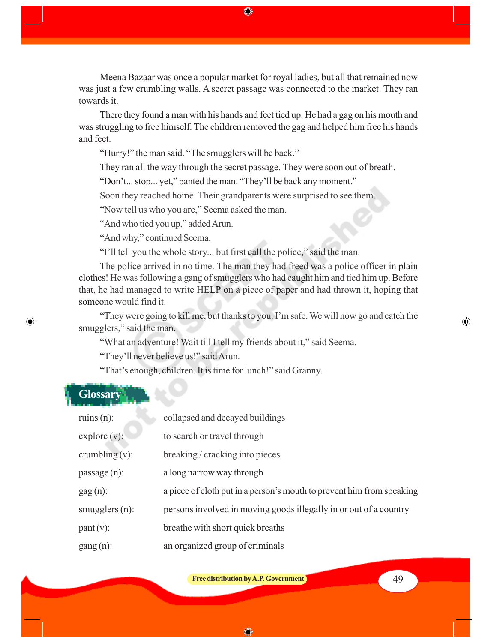Meena Bazaar was once a popular market for royal ladies, but all that remained now was just a few crumbling walls. A secret passage was connected to the market. They ran towards it.

◈

There they found a man with his hands and feet tied up. He had a gag on his mouth and was struggling to free himself. The children removed the gag and helped him free his hands and feet.

"Hurry!" the man said. "The smugglers will be back."

They ran all the way through the secret passage. They were soon out of breath.

"Don't... stop... yet," panted the man. "They'll be back any moment."

Soon they reached home. Their grandparents were surprised to see them.

"Now tell us who you are," Seema asked the man.

"And who tied you up," added Arun.

"And why," continued Seema.

"I'll tell you the whole story... but first call the police," said the man.

The police arrived in no time. The man they had freed was a police officer in plain clothes! He was following a gang of smugglers who had caught him and tied him up. Before that, he had managed to write HELP on a piece of paper and had thrown it, hoping that someone would find it.

"They were going to kill me, but thanks to you. I'm safe. We will now go and catch the smugglers," said the man.

"What an adventure! Wait till I tell my friends about it," said Seema.

"They'll never believe us!" said Arun.

"That's enough, children. It is time for lunch!" said Granny.

# **Glossary**

 $\bigoplus$ 

| ruins $(n)$ :            | collapsed and decayed buildings                                       |
|--------------------------|-----------------------------------------------------------------------|
| explore(v):              | to search or travel through                                           |
| crumbling $(v)$ :        | breaking / cracking into pieces                                       |
| passage(n):              | a long narrow way through                                             |
| $\text{gag}(\text{n})$ : | a piece of cloth put in a person's mouth to prevent him from speaking |
| smugglers $(n)$ :        | persons involved in moving goods illegally in or out of a country     |
| $part(v)$ :              | breathe with short quick breaths                                      |
| $\text{gang}(n)$ :       | an organized group of criminals                                       |

**Free distribution by A.P. Government A.P. EXECUTE: A.P. 49** 

⊕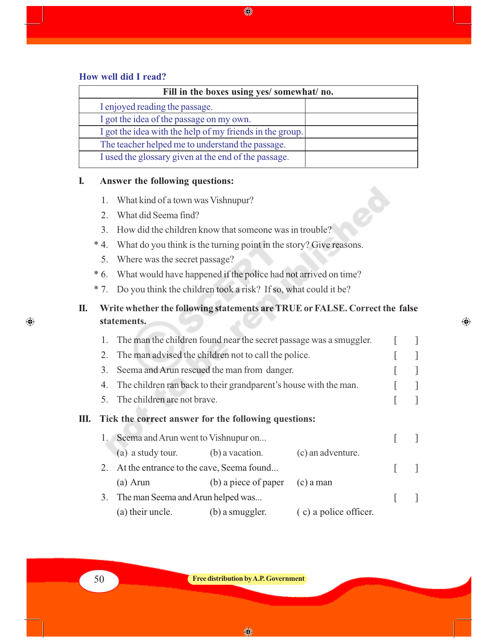#### **How well did I read?**

| Fill in the boxes using yes/ somewhat/ no.               |  |  |
|----------------------------------------------------------|--|--|
| I enjoyed reading the passage.                           |  |  |
| I got the idea of the passage on my own.                 |  |  |
| I got the idea with the help of my friends in the group. |  |  |
| The teacher helped me to understand the passage.         |  |  |
| I used the glossary given at the end of the passage.     |  |  |

♦

### **I. Answer the following questions:**

- 1. What kind of a town was Vishnupur?
- 2. What did Seema find?
- 3. How did the children know that someone was in trouble?
- \* 4. What do you think is the turning point in the story? Give reasons.
	- 5. Where was the secret passage?
- \* 6. What would have happened if the police had not arrived on time?
- \* 7. Do you think the children took a risk? If so, what could it be?

### **II. Write whether the following statements are TRUE or FALSE. Correct the false statements.**

 $\bigoplus$ 

|    |                                                   | 1. The man the children found near the secret passage was a smuggler. |                      |                       |  |
|----|---------------------------------------------------|-----------------------------------------------------------------------|----------------------|-----------------------|--|
|    |                                                   | 2. The man advised the children not to call the police.               |                      |                       |  |
|    | Seema and Arun rescued the man from danger.<br>3. |                                                                       |                      |                       |  |
|    |                                                   | 4. The children ran back to their grandparent's house with the man.   |                      |                       |  |
|    |                                                   | 5. The children are not brave.                                        |                      |                       |  |
| Ш. |                                                   | Tick the correct answer for the following questions:                  |                      |                       |  |
|    |                                                   | 1. Seema and Arun went to Vish nupur on                               |                      |                       |  |
|    |                                                   | (a) a study tour. (b) a vacation.                                     |                      | (c) an adventure.     |  |
|    |                                                   | 2. At the entrance to the cave, Seema found                           |                      |                       |  |
|    |                                                   | (a) Arun                                                              | (b) a piece of paper | $(c)$ a man           |  |
|    |                                                   | 3. The man Seema and Arun helped was                                  |                      |                       |  |
|    |                                                   | (a) their uncle.                                                      | (b) a smuggler.      | (c) a police officer. |  |

◈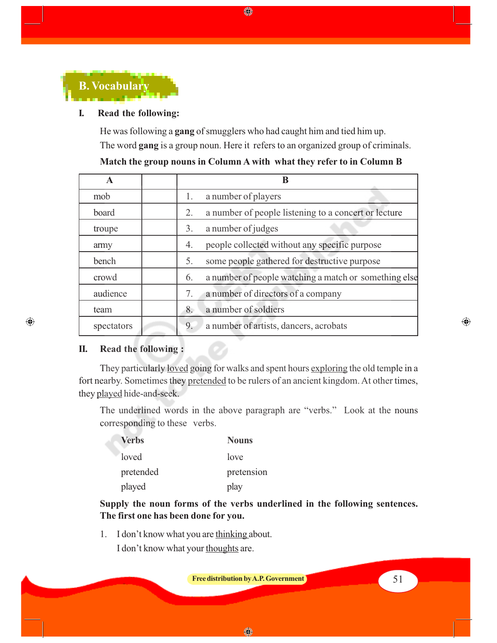

#### **I. Read the following:**

He was following a **gang** of smugglers who had caught him and tied him up. The word **gang** is a group noun. Here it refers to an organized group of criminals.

♦

| A          |    |                                                       |
|------------|----|-------------------------------------------------------|
| mob        | 1. | a number of players                                   |
| board      | 2. | a number of people listening to a concert or lecture  |
| troupe     | 3. | a number of judges                                    |
| army       | 4. | people collected without any specific purpose         |
| bench      | 5. | some people gathered for destructive purpose          |
| crowd      | 6. | a number of people watching a match or something else |
| audience   | 7. | a number of directors of a company                    |
| team       | 8. | a number of soldiers                                  |
| spectators | 9. | a number of artists, dancers, acrobats                |

#### **Match the group nouns in Column A with what they refer to in Column B**

#### **II. Read the following :**

 $\bigoplus$ 

They particularly <u>loved</u> going for walks and spent hours exploring the old temple in a fort nearby. Sometimes they pretended to be rulers of an ancient kingdom. At other times, they played hide-and-seek.

The underlined words in the above paragraph are "verbs." Look at the nouns corresponding to these verbs.

| <b>Verbs</b> | <b>Nouns</b> |
|--------------|--------------|
| loved        | love         |
| pretended    | pretension   |
| played       | play         |

**Supply the noun forms of the verbs underlined in the following sentences. The first one has been done for you.**

1. I don't know what you are thinking about. I don't know what your thoughts are.

**Free distribution by A.P. Government 1 1 1 1 1 1 51** 

◈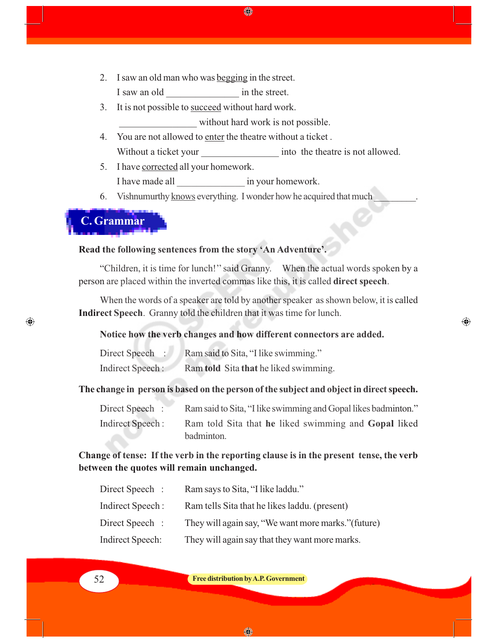- 2. I saw an old man who was begging in the street. I saw an old  $\qquad \qquad$  in the street.
- 3. It is not possible to succeed without hard work.

without hard work is not possible.

4. You are not allowed to enter the theatre without a ticket . Without a ticket your into the theatre is not allowed.

◈

- 5. I have corrected all your homework. I have made all  $\qquad \qquad$  in your homework.
- 6. Vishnumurthy knows everything. I wonder how he acquired that much

## **C. Grammar**

 $\bigcirc$ 

### **Read the following sentences from the story 'An Adventure'.**

"Children, it is time for lunch!'' said Granny.When the actual words spoken by a person are placed within the inverted commas like this, it is called **direct speech**.

When the words of a speaker are told by another speaker as shown below, it is called **Indirect Speech**. Granny told the children that it was time for lunch.

⊕

#### **Notice how the verb changes and how different connectors are added.**

| Direct Speech :  | Ram said to Sita, "I like swimming."  |
|------------------|---------------------------------------|
| Indirect Speech: | Ram told Sita that he liked swimming. |

#### **The change in person is based on the person of the subject and object in direct speech.**

| Direct Speech :  | Ram said to Sita, "I like swimming and Gopal likes badminton." |
|------------------|----------------------------------------------------------------|
| Indirect Speech: | Ram told Sita that he liked swimming and <b>Gopal</b> liked    |
|                  | badminton.                                                     |

### **Change of tense: If the verb in the reporting clause is in the present tense, the verb between the quotes will remain unchanged.**

| Direct Speech :  | Ram says to Sita, "I like laddu."                   |
|------------------|-----------------------------------------------------|
| Indirect Speech: | Ram tells Sita that he likes laddu. (present)       |
| Direct Speech :  | They will again say, "We want more marks." (future) |
| Indirect Speech: | They will again say that they want more marks.      |



52 **Free distribution by A.P. Government**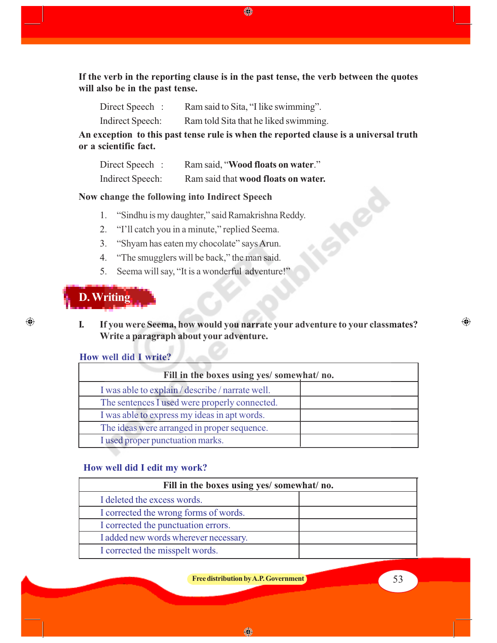**If the verb in the reporting clause is in the past tense, the verb between the quotes will also be in the past tense.**

♠

Direct Speech : Ram said to Sita, "I like swimming".

Indirect Speech: Ram told Sita that he liked swimming.

**An exception to this past tense rule is when the reported clause is a universal truth or a scientific fact.**

| Direct Speech :  | Ram said, "Wood floats on water."   |
|------------------|-------------------------------------|
| Indirect Speech: | Ram said that wood floats on water. |

#### **Now change the following into Indirect Speech**

- 1. "Sindhu is my daughter," said Ramakrishna Reddy.
- 2. "I'll catch you in a minute," replied Seema.
- 3. "Shyam has eaten my chocolate" says Arun.
- 4. "The smugglers will be back," the man said.
- 5. Seema will say, "It is a wonderful adventure!"

## **D. Writing**

 $\bigoplus$ 

**I. If you were Seema, how would you narrate your adventure to your classmates? Write a paragraph about your adventure.**

#### **How well did I write?**

| Fill in the boxes using yes/ somewhat/ no.       |  |  |
|--------------------------------------------------|--|--|
| I was able to explain / describe / narrate well. |  |  |
| The sentences I used were properly connected.    |  |  |
| I was able to express my ideas in apt words.     |  |  |
| The ideas were arranged in proper sequence.      |  |  |
| I used proper punctuation marks.                 |  |  |

#### **How well did I edit my work?**

| Fill in the boxes using yes/ somewhat/ no. |  |
|--------------------------------------------|--|
| I deleted the excess words.                |  |
| I corrected the wrong forms of words.      |  |
| I corrected the punctuation errors.        |  |
| I added new words wherever necessary.      |  |
| I corrected the misspelt words.            |  |

**Free distribution by A.P. Government** 53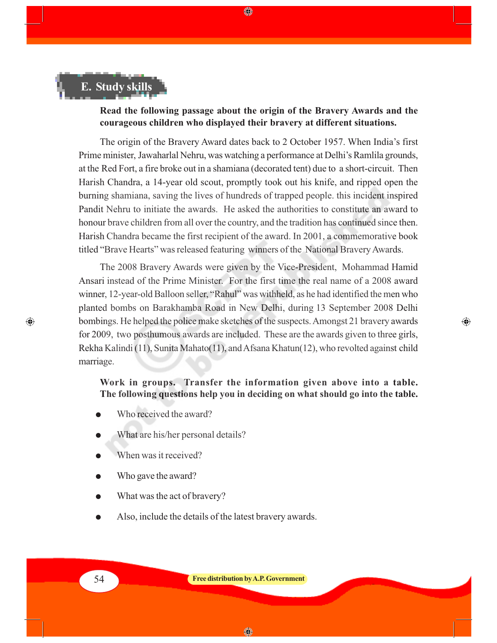# **E. Study skills**

#### **Read the following passage about the origin of the Bravery Awards and the courageous children who displayed their bravery at different situations.**

◈

The origin of the Bravery Award dates back to 2 October 1957. When India's first Prime minister, Jawaharlal Nehru, was watching a performance at Delhi's Ramlila grounds, at the Red Fort, a fire broke out in a shamiana (decorated tent) due to a short-circuit. Then Harish Chandra, a 14-year old scout, promptly took out his knife, and ripped open the burning shamiana, saving the lives of hundreds of trapped people. this incident inspired Pandit Nehru to initiate the awards. He asked the authorities to constitute an award to honour brave children from all over the country, and the tradition has continued since then. Harish Chandra became the first recipient of the award. In 2001, a commemorative book titled "Brave Hearts" was released featuring winners of the National Bravery Awards.

The 2008 Bravery Awards were given by the Vice-President, Mohammad Hamid Ansari instead of the Prime Minister. For the first time the real name of a 2008 award winner, 12-year-old Balloon seller, "Rahul" was withheld, as he had identified the men who planted bombs on Barakhamba Road in New Delhi, during 13 September 2008 Delhi bombings. He helped the police make sketches of the suspects. Amongst 21 bravery awards for 2009, two posthumous awards are included. These are the awards given to three girls, Rekha Kalindi (11), Sunita Mahato(11), and Afsana Khatun(12), who revolted against child marriage.

⊕

#### **Work in groups. Transfer the information given above into a table. The following questions help you in deciding on what should go into the table.**

- Who received the award?
- What are his/her personal details?
- When was it received?
- Who gave the award?
- What was the act of bravery?
- Also, include the details of the latest bravery awards.

⊕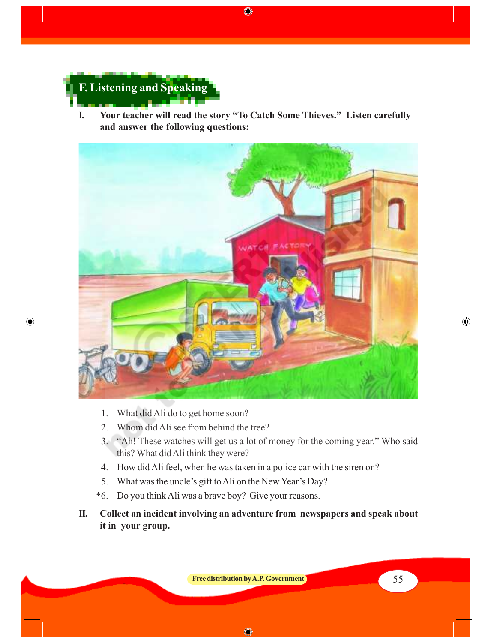

 $\bigoplus$ 

**I. Your teacher will read the story "To Catch Some Thieves." Listen carefully and answer the following questions:**

♦



- 1. What did Ali do to get home soon?
- 2. Whom did Ali see from behind the tree?
- 3. "Ah! These watches will get us a lot of money for the coming year." Who said this? What did Ali think they were?
- 4. How did Ali feel, when he was taken in a police car with the siren on?
- 5. What was the uncle's gift to Ali on the New Year's Day?
- \*6. Do you think Ali was a brave boy? Give your reasons.
- **II. Collect an incident involving an adventure from newspapers and speak about it in your group.**

**Free distribution by A.P. Government** 55

◈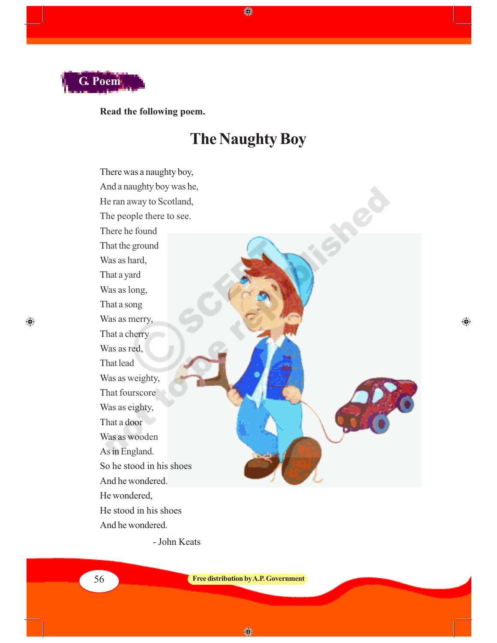

 $\bigoplus$ 

**Read the following poem.**

# **The Naughty Boy**

♦

There was a naughty boy, And a naughty boy was he, He ran away to Scotland, The people there to see. There he found That the ground Was as hard, That a yard Was as long, That a song Was as merry, That a cherry Was as red, That lead Was as weighty, That fourscore Was as eighty, That a door Was as wooden As in England. So he stood in his shoes And he wondered. He wondered, He stood in his shoes And he wondered.

 $\bigoplus$ 

- John Keats

56 **Free distribution by A.P. Government**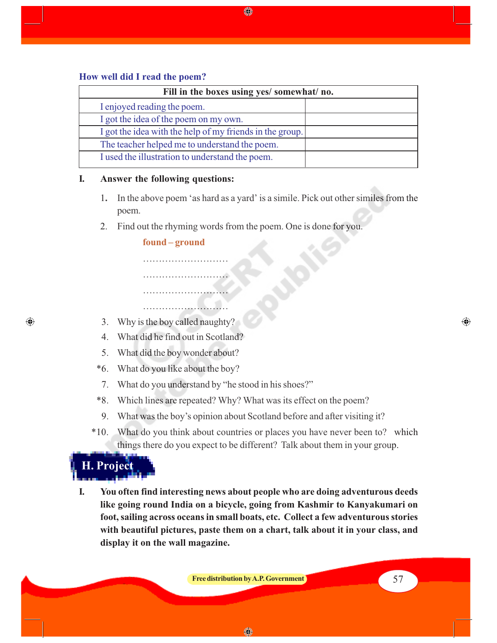#### **How well did I read the poem?**

| Fill in the boxes using yes/ somewhat/ no.               |  |  |
|----------------------------------------------------------|--|--|
| I enjoyed reading the poem.                              |  |  |
| I got the idea of the poem on my own.                    |  |  |
| I got the idea with the help of my friends in the group. |  |  |
| The teacher helped me to understand the poem.            |  |  |
| I used the illustration to understand the poem.          |  |  |

◈

#### **I. Answer the following questions:**

- 1**.** In the above poem 'as hard as a yard' is a simile. Pick out other similes from the poem.
- 2. Find out the rhyming words from the poem. One is done for you.

#### **found – ground**

………………………

………………………

…………………………

………………………

- 3. Why is the boy called naughty?
- 4. What did he find out in Scotland?
- 5. What did the boy wonder about?
- \*6. What do you like about the boy?
- 7. What do you understand by "he stood in his shoes?"
- \*8. Which lines are repeated? Why? What was its effect on the poem?
- 9. What was the boy's opinion about Scotland before and after visiting it?
- \*10. What do you think about countries or places you have never been to? which things there do you expect to be different? Talk about them in your group.

 **H. Project**

 $\bigoplus$ 

**I. You often find interesting news about people who are doing adventurous deeds like going round India on a bicycle, going from Kashmir to Kanyakumari on foot, sailing across oceans in small boats, etc. Collect a few adventurous stories with beautiful pictures, paste them on a chart, talk about it in your class, and display it on the wall magazine.**

**Free distribution by A.P. Government Free distribution by A.P. Government** 

◈

⊕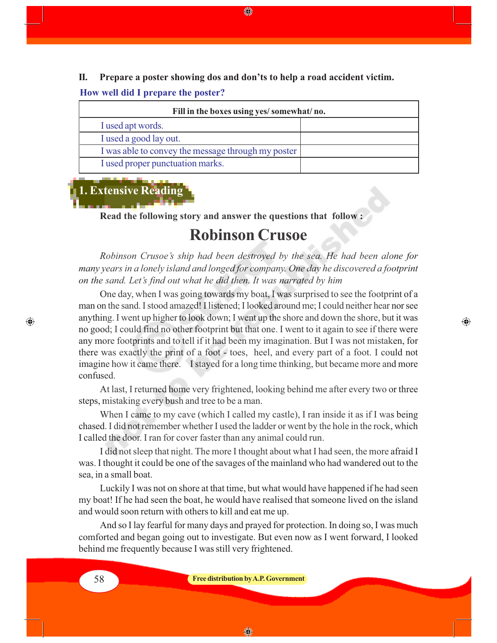**II. Prepare a poster showing dos and don'ts to help a road accident victim.**

◈

#### **How well did I prepare the poster?**

| Fill in the boxes using yes/somewhat/no.           |  |
|----------------------------------------------------|--|
| I used apt words.                                  |  |
| I used a good lay out.                             |  |
| I was able to convey the message through my poster |  |
| I used proper punctuation marks.                   |  |

## **1. Extensive Reading**

**Read the following story and answer the questions that follow :**

## **Robinson Crusoe**

*Robinson Crusoe's ship had been destroyed by the sea. He had been alone for many years in a lonely island and longed for company. One day he discovered a footprint on the sand. Let's find out what he did then. It was narrated by him*

One day, when I was going towards my boat, I was surprised to see the footprint of a man on the sand. I stood amazed! I listened; I looked around me; I could neither hear nor see anything. I went up higher to look down; I went up the shore and down the shore, but it was no good; I could find no other footprint but that one. I went to it again to see if there were any more footprints and to tell if it had been my imagination. But I was not mistaken, for there was exactly the print of a foot - toes, heel, and every part of a foot. I could not imagine how it came there. I stayed for a long time thinking, but became more and more confused.

⊕

At last, I returned home very frightened, looking behind me after every two or three steps, mistaking every bush and tree to be a man.

When I came to my cave (which I called my castle), I ran inside it as if I was being chased. I did not remember whether I used the ladder or went by the hole in the rock, which I called the door. I ran for cover faster than any animal could run.

I did not sleep that night. The more I thought about what I had seen, the more afraid I was. I thought it could be one of the savages of the mainland who had wandered out to the sea, in a small boat.

Luckily I was not on shore at that time, but what would have happened if he had seen my boat! If he had seen the boat, he would have realised that someone lived on the island and would soon return with others to kill and eat me up.

And so I lay fearful for many days and prayed for protection. In doing so, I was much comforted and began going out to investigate. But even now as I went forward, I looked behind me frequently because I was still very frightened.

#### 58 **Free distribution by A.P. Government**

◈

 $\bigcirc$